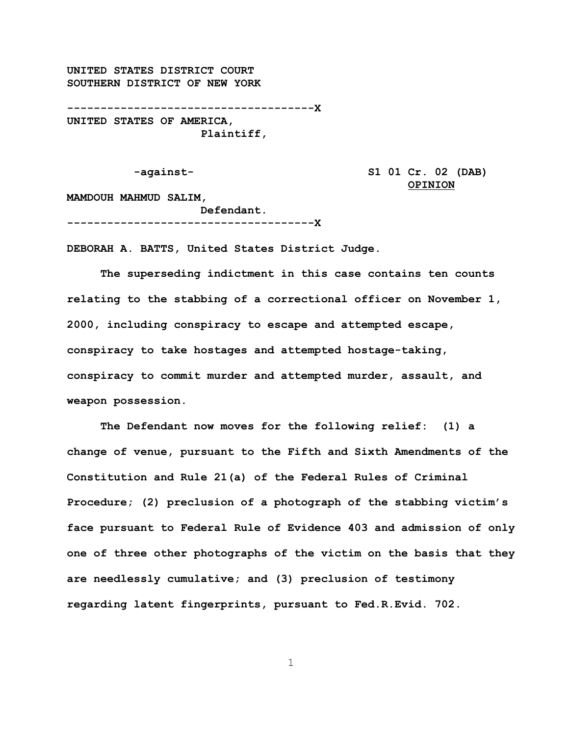**UNITED STATES DISTRICT COURT SOUTHERN DISTRICT OF NEW YORK**

**-------------------------------------X UNITED STATES OF AMERICA, Plaintiff,** 

**-against- S1 01 Cr. 02 (DAB) OPINION**

**MAMDOUH MAHMUD SALIM, Defendant.**

**-------------------------------------X**

**DEBORAH A. BATTS, United States District Judge.**

**The superseding indictment in this case contains ten counts relating to the stabbing of a correctional officer on November 1, 2000, including conspiracy to escape and attempted escape, conspiracy to take hostages and attempted hostage-taking, conspiracy to commit murder and attempted murder, assault, and weapon possession.**

**The Defendant now moves for the following relief: (1) a change of venue, pursuant to the Fifth and Sixth Amendments of the Constitution and Rule 21(a) of the Federal Rules of Criminal Procedure; (2) preclusion of a photograph of the stabbing victim's face pursuant to Federal Rule of Evidence 403 and admission of only one of three other photographs of the victim on the basis that they are needlessly cumulative; and (3) preclusion of testimony regarding latent fingerprints, pursuant to Fed.R.Evid. 702.**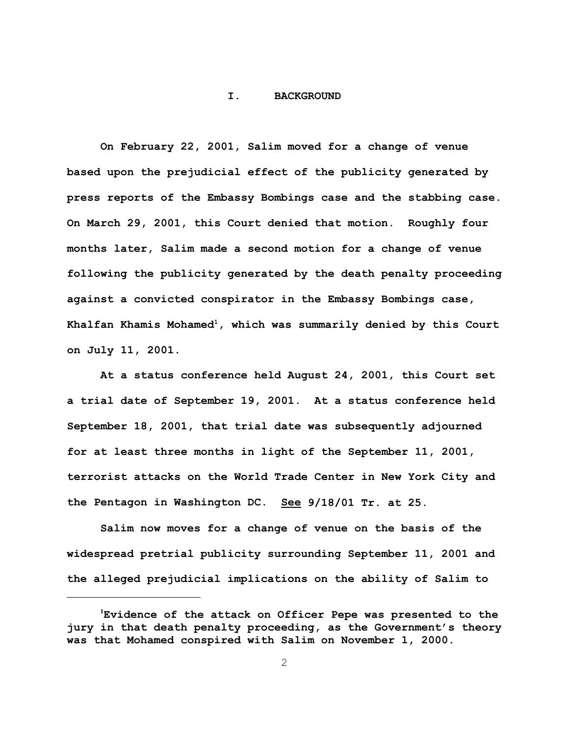#### **I. BACKGROUND**

**On February 22, 2001, Salim moved for a change of venue based upon the prejudicial effect of the publicity generated by press reports of the Embassy Bombings case and the stabbing case. On March 29, 2001, this Court denied that motion. Roughly four months later, Salim made a second motion for a change of venue following the publicity generated by the death penalty proceeding against a convicted conspirator in the Embassy Bombings case, Khalfan Khamis Mohamed<sup>1</sup>, which was summarily denied by this Court on July 11, 2001.**

**At a status conference held August 24, 2001, this Court set a trial date of September 19, 2001. At a status conference held September 18, 2001, that trial date was subsequently adjourned for at least three months in light of the September 11, 2001, terrorist attacks on the World Trade Center in New York City and the Pentagon in Washington DC. See 9/18/01 Tr. at 25.**

**Salim now moves for a change of venue on the basis of the widespread pretrial publicity surrounding September 11, 2001 and the alleged prejudicial implications on the ability of Salim to**

**<sup>1</sup>Evidence of the attack on Officer Pepe was presented to the jury in that death penalty proceeding, as the Government's theory was that Mohamed conspired with Salim on November 1, 2000.**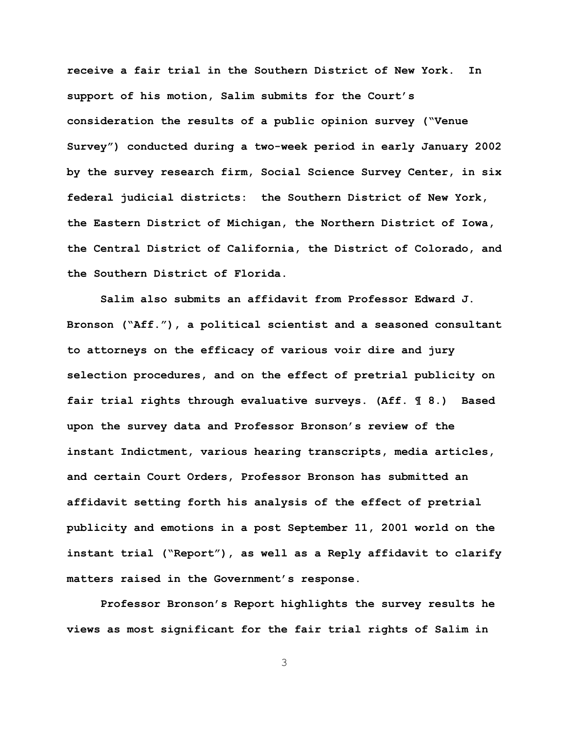**receive a fair trial in the Southern District of New York. In support of his motion, Salim submits for the Court's consideration the results of a public opinion survey ("Venue Survey") conducted during a two-week period in early January 2002 by the survey research firm, Social Science Survey Center, in six federal judicial districts: the Southern District of New York, the Eastern District of Michigan, the Northern District of Iowa, the Central District of California, the District of Colorado, and the Southern District of Florida.** 

**Salim also submits an affidavit from Professor Edward J. Bronson ("Aff."), a political scientist and a seasoned consultant to attorneys on the efficacy of various voir dire and jury selection procedures, and on the effect of pretrial publicity on fair trial rights through evaluative surveys. (Aff. ¶ 8.) Based upon the survey data and Professor Bronson's review of the instant Indictment, various hearing transcripts, media articles, and certain Court Orders, Professor Bronson has submitted an affidavit setting forth his analysis of the effect of pretrial publicity and emotions in a post September 11, 2001 world on the instant trial ("Report"), as well as a Reply affidavit to clarify matters raised in the Government's response.** 

**Professor Bronson's Report highlights the survey results he views as most significant for the fair trial rights of Salim in**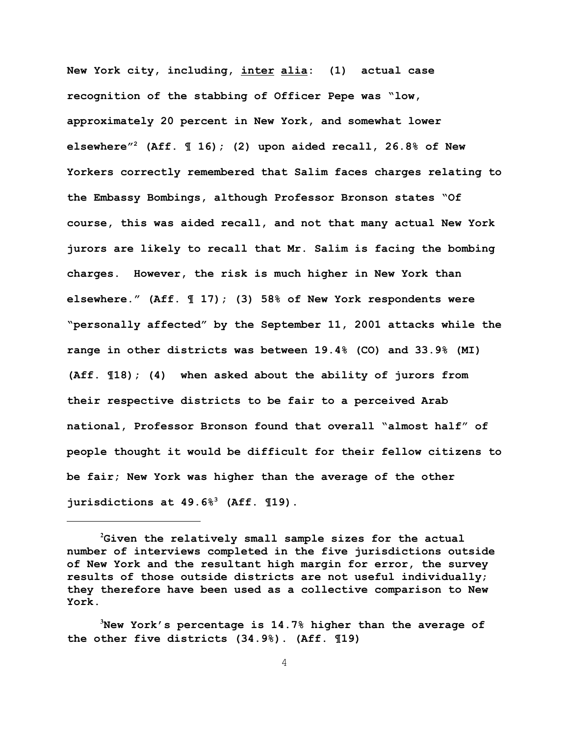**New York city, including, inter alia: (1) actual case recognition of the stabbing of Officer Pepe was "low, approximately 20 percent in New York, and somewhat lower elsewhere"<sup>2</sup> (Aff. ¶ 16); (2) upon aided recall, 26.8% of New Yorkers correctly remembered that Salim faces charges relating to the Embassy Bombings, although Professor Bronson states "Of course, this was aided recall, and not that many actual New York jurors are likely to recall that Mr. Salim is facing the bombing charges. However, the risk is much higher in New York than elsewhere." (Aff. ¶ 17); (3) 58% of New York respondents were "personally affected" by the September 11, 2001 attacks while the range in other districts was between 19.4% (CO) and 33.9% (MI) (Aff. ¶18); (4) when asked about the ability of jurors from their respective districts to be fair to a perceived Arab national, Professor Bronson found that overall "almost half" of people thought it would be difficult for their fellow citizens to be fair; New York was higher than the average of the other jurisdictions at 49.6%3 (Aff. ¶19).**

**<sup>2</sup>Given the relatively small sample sizes for the actual number of interviews completed in the five jurisdictions outside of New York and the resultant high margin for error, the survey results of those outside districts are not useful individually**; **they therefore have been used as a collective comparison to New York.**

**<sup>3</sup>New York's percentage is 14.7% higher than the average of the other five districts (34.9%). (Aff. ¶19)**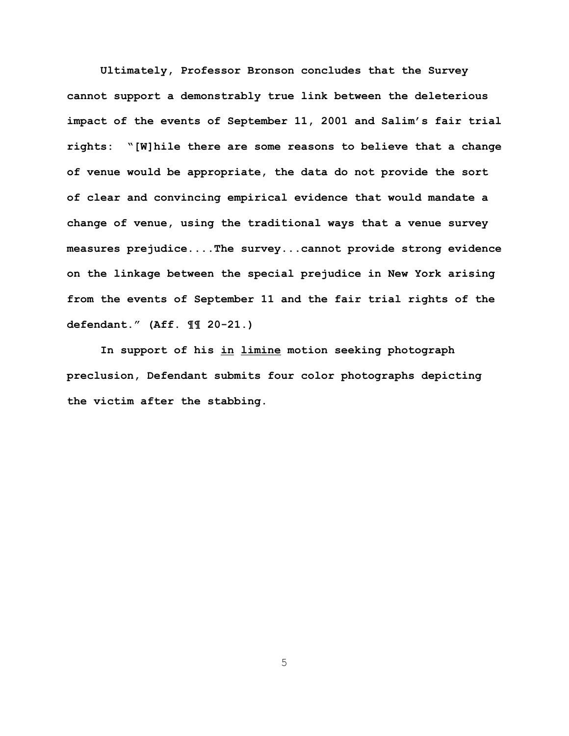**Ultimately, Professor Bronson concludes that the Survey cannot support a demonstrably true link between the deleterious impact of the events of September 11, 2001 and Salim's fair trial rights: "[W]hile there are some reasons to believe that a change of venue would be appropriate, the data do not provide the sort of clear and convincing empirical evidence that would mandate a change of venue, using the traditional ways that a venue survey measures prejudice....The survey...cannot provide strong evidence on the linkage between the special prejudice in New York arising from the events of September 11 and the fair trial rights of the defendant." (Aff. ¶¶ 20-21.)**

**In support of his in limine motion seeking photograph preclusion, Defendant submits four color photographs depicting the victim after the stabbing.**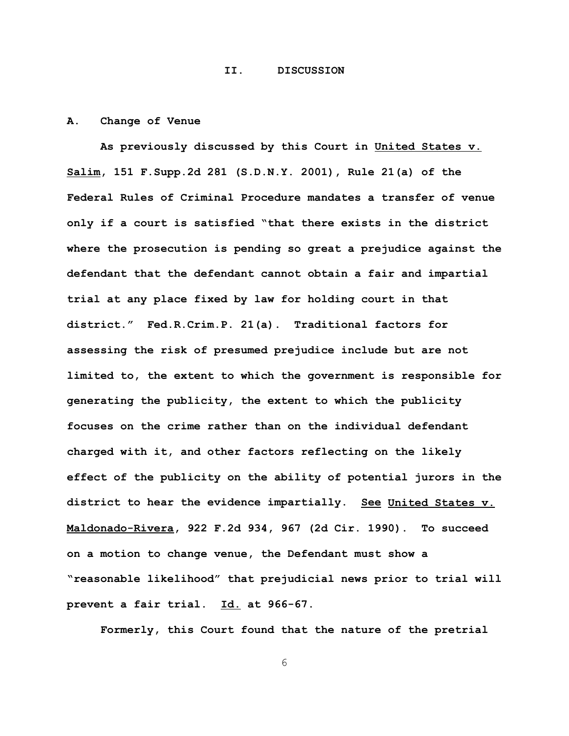#### **II. DISCUSSION**

# **A. Change of Venue**

**As previously discussed by this Court in United States v. Salim, 151 F.Supp.2d 281 (S.D.N.Y. 2001), Rule 21(a) of the Federal Rules of Criminal Procedure mandates a transfer of venue only if a court is satisfied "that there exists in the district where the prosecution is pending so great a prejudice against the defendant that the defendant cannot obtain a fair and impartial trial at any place fixed by law for holding court in that district." Fed.R.Crim.P. 21(a). Traditional factors for assessing the risk of presumed prejudice include but are not limited to, the extent to which the government is responsible for generating the publicity, the extent to which the publicity focuses on the crime rather than on the individual defendant charged with it, and other factors reflecting on the likely effect of the publicity on the ability of potential jurors in the district to hear the evidence impartially. See United States v. Maldonado-Rivera, 922 F.2d 934, 967 (2d Cir. 1990). To succeed on a motion to change venue, the Defendant must show a "reasonable likelihood" that prejudicial news prior to trial will prevent a fair trial. Id. at 966-67.**

**Formerly, this Court found that the nature of the pretrial**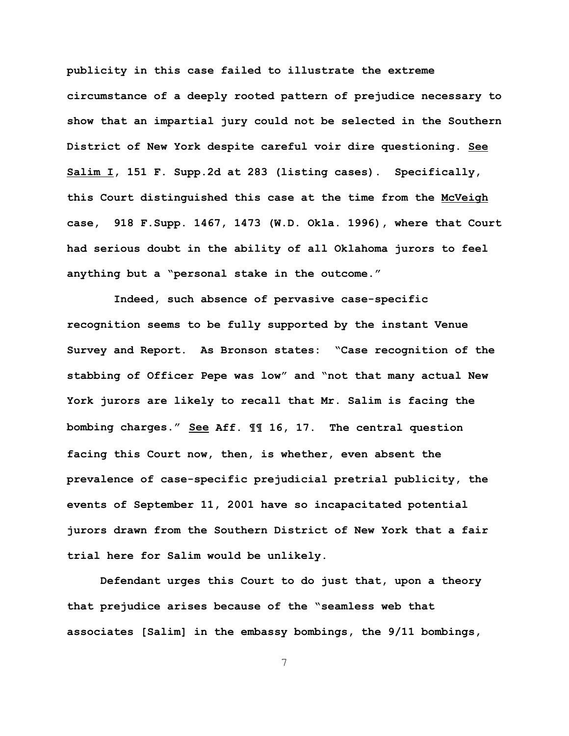**publicity in this case failed to illustrate the extreme circumstance of a deeply rooted pattern of prejudice necessary to show that an impartial jury could not be selected in the Southern District of New York despite careful voir dire questioning. See Salim I, 151 F. Supp.2d at 283 (listing cases). Specifically, this Court distinguished this case at the time from the McVeigh case, 918 F.Supp. 1467, 1473 (W.D. Okla. 1996), where that Court had serious doubt in the ability of all Oklahoma jurors to feel anything but a "personal stake in the outcome."**

 **Indeed, such absence of pervasive case-specific recognition seems to be fully supported by the instant Venue Survey and Report. As Bronson states: "Case recognition of the stabbing of Officer Pepe was low" and "not that many actual New York jurors are likely to recall that Mr. Salim is facing the bombing charges." See Aff. ¶¶ 16, 17. The central question facing this Court now, then, is whether, even absent the prevalence of case-specific prejudicial pretrial publicity, the events of September 11, 2001 have so incapacitated potential jurors drawn from the Southern District of New York that a fair trial here for Salim would be unlikely.** 

**Defendant urges this Court to do just that, upon a theory that prejudice arises because of the "seamless web that associates [Salim] in the embassy bombings, the 9/11 bombings,**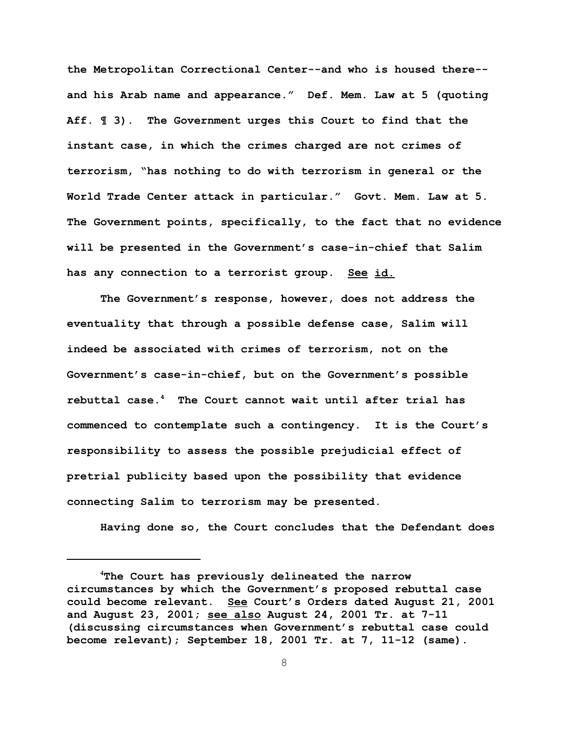**the Metropolitan Correctional Center--and who is housed there- and his Arab name and appearance." Def. Mem. Law at 5 (quoting Aff. ¶ 3). The Government urges this Court to find that the instant case, in which the crimes charged are not crimes of terrorism, "has nothing to do with terrorism in general or the World Trade Center attack in particular." Govt. Mem. Law at 5. The Government points, specifically, to the fact that no evidence will be presented in the Government's case-in-chief that Salim has any connection to a terrorist group. See id.**

**The Government's response, however, does not address the eventuality that through a possible defense case, Salim will indeed be associated with crimes of terrorism, not on the Government's case-in-chief, but on the Government's possible rebuttal case.<sup>4</sup> The Court cannot wait until after trial has commenced to contemplate such a contingency. It is the Court's responsibility to assess the possible prejudicial effect of pretrial publicity based upon the possibility that evidence connecting Salim to terrorism may be presented.** 

**Having done so, the Court concludes that the Defendant does**

**<sup>4</sup>The Court has previously delineated the narrow circumstances by which the Government's proposed rebuttal case could become relevant. See Court's Orders dated August 21, 2001 and August 23, 2001; see also August 24, 2001 Tr. at 7-11 (discussing circumstances when Government's rebuttal case could become relevant)**; **September 18, 2001 Tr. at 7, 11-12 (same).**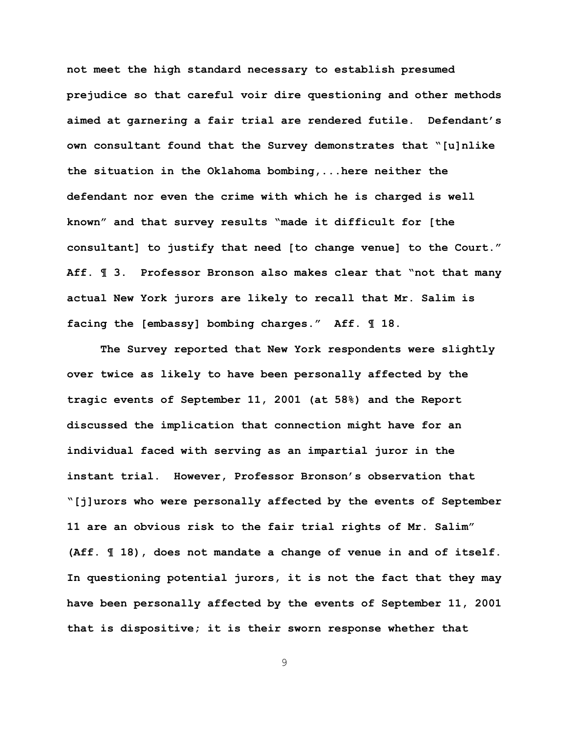**not meet the high standard necessary to establish presumed prejudice so that careful voir dire questioning and other methods aimed at garnering a fair trial are rendered futile. Defendant's own consultant found that the Survey demonstrates that "[u]nlike the situation in the Oklahoma bombing,...here neither the defendant nor even the crime with which he is charged is well known" and that survey results "made it difficult for [the consultant] to justify that need [to change venue] to the Court." Aff. ¶ 3. Professor Bronson also makes clear that "not that many actual New York jurors are likely to recall that Mr. Salim is facing the [embassy] bombing charges." Aff. ¶ 18.** 

**The Survey reported that New York respondents were slightly over twice as likely to have been personally affected by the tragic events of September 11, 2001 (at 58%) and the Report discussed the implication that connection might have for an individual faced with serving as an impartial juror in the instant trial. However, Professor Bronson's observation that "[j]urors who were personally affected by the events of September 11 are an obvious risk to the fair trial rights of Mr. Salim" (Aff. ¶ 18), does not mandate a change of venue in and of itself. In questioning potential jurors, it is not the fact that they may have been personally affected by the events of September 11, 2001 that is dispositive; it is their sworn response whether that**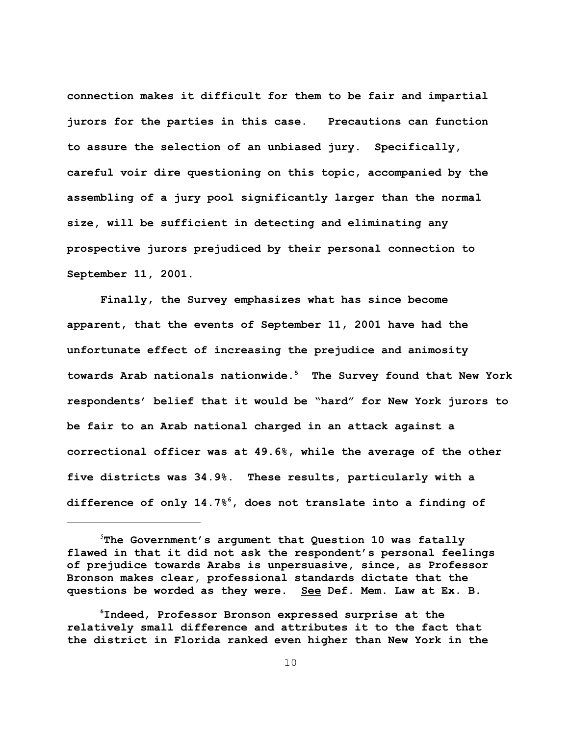**connection makes it difficult for them to be fair and impartial jurors for the parties in this case. Precautions can function to assure the selection of an unbiased jury. Specifically, careful voir dire questioning on this topic, accompanied by the assembling of a jury pool significantly larger than the normal size, will be sufficient in detecting and eliminating any prospective jurors prejudiced by their personal connection to September 11, 2001.** 

**Finally, the Survey emphasizes what has since become apparent, that the events of September 11, 2001 have had the unfortunate effect of increasing the prejudice and animosity towards Arab nationals nationwide.<sup>5</sup> The Survey found that New York respondents' belief that it would be "hard" for New York jurors to be fair to an Arab national charged in an attack against a correctional officer was at 49.6%, while the average of the other five districts was 34.9%. These results, particularly with a difference of only 14.7%6, does not translate into a finding of**

<sup>5</sup>**The Government's argument that Question 10 was fatally flawed in that it did not ask the respondent's personal feelings of prejudice towards Arabs is unpersuasive, since, as Professor Bronson makes clear, professional standards dictate that the questions be worded as they were. See Def. Mem. Law at Ex. B.**

**<sup>6</sup>Indeed, Professor Bronson expressed surprise at the relatively small difference and attributes it to the fact that the district in Florida ranked even higher than New York in the**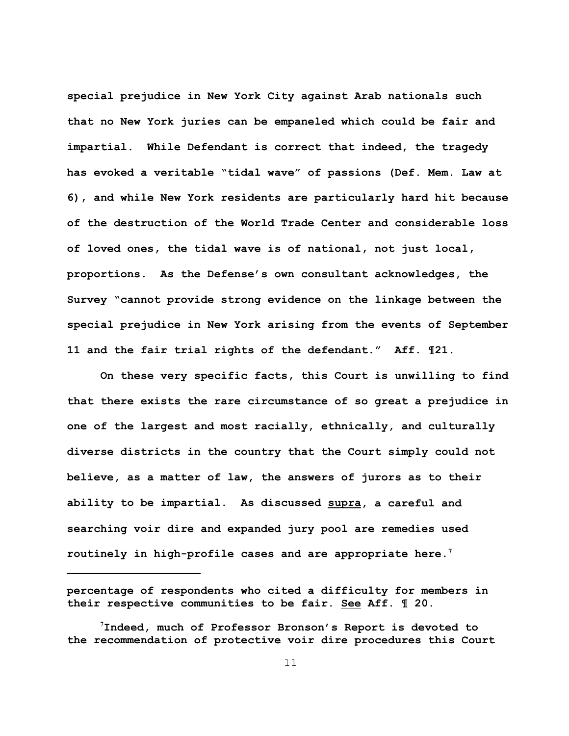**special prejudice in New York City against Arab nationals such that no New York juries can be empaneled which could be fair and impartial. While Defendant is correct that indeed, the tragedy has evoked a veritable "tidal wave" of passions (Def. Mem. Law at 6), and while New York residents are particularly hard hit because of the destruction of the World Trade Center and considerable loss of loved ones, the tidal wave is of national, not just local, proportions. As the Defense's own consultant acknowledges, the Survey "cannot provide strong evidence on the linkage between the special prejudice in New York arising from the events of September 11 and the fair trial rights of the defendant." Aff. ¶21.** 

**On these very specific facts, this Court is unwilling to find that there exists the rare circumstance of so great a prejudice in one of the largest and most racially, ethnically, and culturally diverse districts in the country that the Court simply could not believe, as a matter of law, the answers of jurors as to their ability to be impartial. As discussed supra, a careful and searching voir dire and expanded jury pool are remedies used routinely in high-profile cases and are appropriate here.7**

**percentage of respondents who cited a difficulty for members in their respective communities to be fair. See Aff. ¶ 20.**

**<sup>7</sup>Indeed, much of Professor Bronson's Report is devoted to the recommendation of protective voir dire procedures this Court**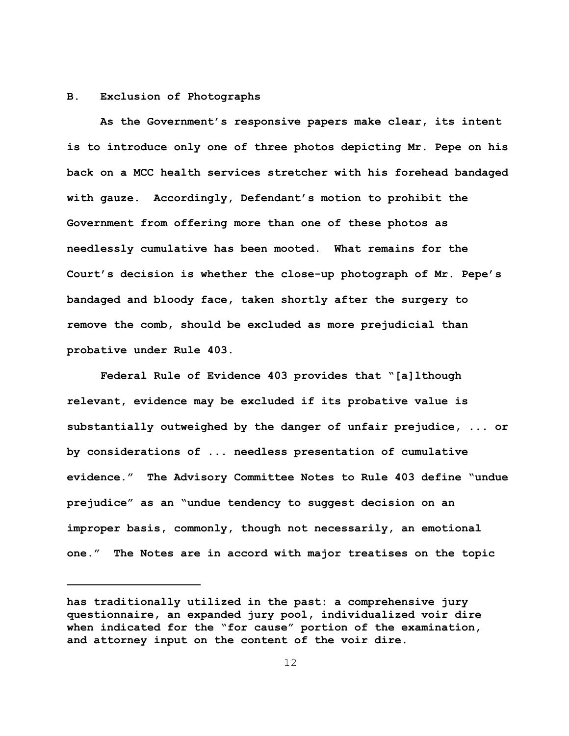# **B. Exclusion of Photographs**

**As the Government's responsive papers make clear, its intent is to introduce only one of three photos depicting Mr. Pepe on his back on a MCC health services stretcher with his forehead bandaged with gauze. Accordingly, Defendant's motion to prohibit the Government from offering more than one of these photos as needlessly cumulative has been mooted. What remains for the Court's decision is whether the close-up photograph of Mr. Pepe's bandaged and bloody face, taken shortly after the surgery to remove the comb, should be excluded as more prejudicial than probative under Rule 403.**

**Federal Rule of Evidence 403 provides that "[a]lthough relevant, evidence may be excluded if its probative value is substantially outweighed by the danger of unfair prejudice, ... or by considerations of ... needless presentation of cumulative evidence." The Advisory Committee Notes to Rule 403 define "undue prejudice" as an "undue tendency to suggest decision on an improper basis, commonly, though not necessarily, an emotional one." The Notes are in accord with major treatises on the topic**

**has traditionally utilized in the past: a comprehensive jury questionnaire, an expanded jury pool, individualized voir dire when indicated for the "for cause" portion of the examination, and attorney input on the content of the voir dire.**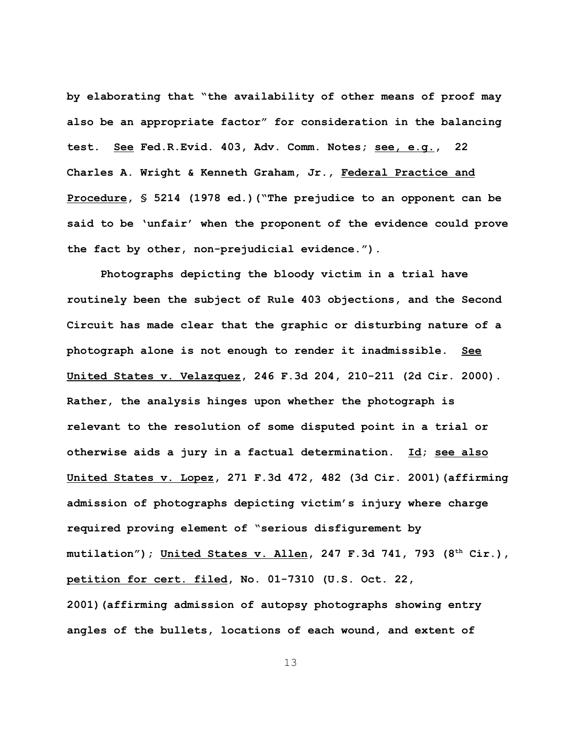**by elaborating that "the availability of other means of proof may also be an appropriate factor" for consideration in the balancing test. See Fed.R.Evid. 403, Adv. Comm. Notes; see, e.g., 22 Charles A. Wright & Kenneth Graham, Jr., Federal Practice and Procedure, § 5214 (1978 ed.)("The prejudice to an opponent can be said to be 'unfair' when the proponent of the evidence could prove the fact by other, non-prejudicial evidence.").** 

**Photographs depicting the bloody victim in a trial have routinely been the subject of Rule 403 objections, and the Second Circuit has made clear that the graphic or disturbing nature of a photograph alone is not enough to render it inadmissible. See United States v. Velazquez, 246 F.3d 204, 210-211 (2d Cir. 2000). Rather, the analysis hinges upon whether the photograph is relevant to the resolution of some disputed point in a trial or otherwise aids a jury in a factual determination. Id; see also United States v. Lopez, 271 F.3d 472, 482 (3d Cir. 2001)(affirming admission of photographs depicting victim's injury where charge required proving element of "serious disfigurement by mutilation"); United States v. Allen, 247 F.3d 741, 793 (8th Cir.), petition for cert. filed, No. 01-7310 (U.S. Oct. 22, 2001)(affirming admission of autopsy photographs showing entry angles of the bullets, locations of each wound, and extent of**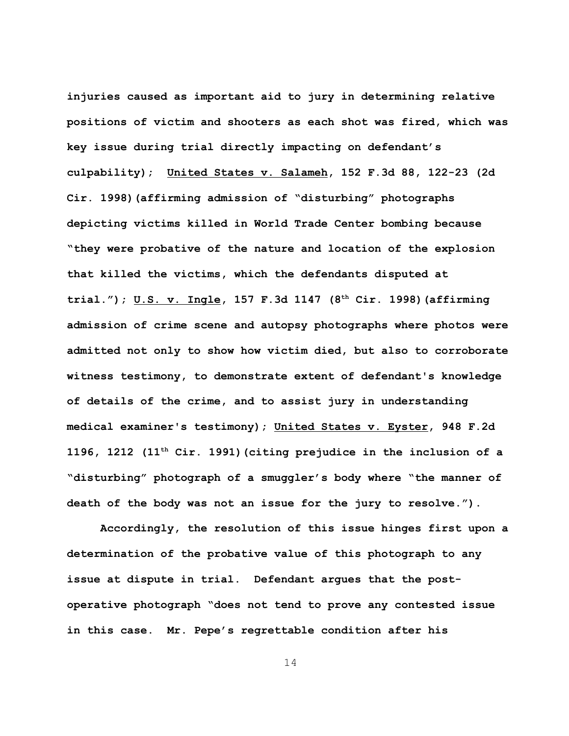**injuries caused as important aid to jury in determining relative positions of victim and shooters as each shot was fired, which was key issue during trial directly impacting on defendant's culpability); United States v. Salameh, 152 F.3d 88, 122-23 (2d Cir. 1998)(affirming admission of "disturbing" photographs depicting victims killed in World Trade Center bombing because "they were probative of the nature and location of the explosion that killed the victims, which the defendants disputed at trial."); U.S. v. Ingle, 157 F.3d 1147 (8th Cir. 1998)(affirming admission of crime scene and autopsy photographs where photos were admitted not only to show how victim died, but also to corroborate witness testimony, to demonstrate extent of defendant's knowledge of details of the crime, and to assist jury in understanding medical examiner's testimony); United States v. Eyster, 948 F.2d 1196, 1212 (11th Cir. 1991)(citing prejudice in the inclusion of a "disturbing" photograph of a smuggler's body where "the manner of death of the body was not an issue for the jury to resolve.").**

**Accordingly, the resolution of this issue hinges first upon a determination of the probative value of this photograph to any issue at dispute in trial. Defendant argues that the postoperative photograph "does not tend to prove any contested issue in this case. Mr. Pepe's regrettable condition after his**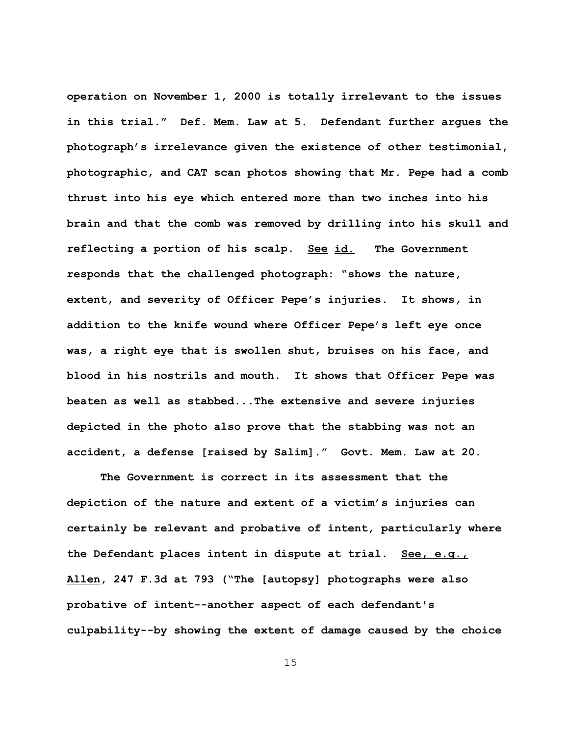**operation on November 1, 2000 is totally irrelevant to the issues in this trial." Def. Mem. Law at 5. Defendant further argues the photograph's irrelevance given the existence of other testimonial, photographic, and CAT scan photos showing that Mr. Pepe had a comb thrust into his eye which entered more than two inches into his brain and that the comb was removed by drilling into his skull and reflecting a portion of his scalp. See id. The Government responds that the challenged photograph: "shows the nature, extent, and severity of Officer Pepe's injuries. It shows, in addition to the knife wound where Officer Pepe's left eye once was, a right eye that is swollen shut, bruises on his face, and blood in his nostrils and mouth. It shows that Officer Pepe was beaten as well as stabbed...The extensive and severe injuries depicted in the photo also prove that the stabbing was not an accident, a defense [raised by Salim]." Govt. Mem. Law at 20.**

**The Government is correct in its assessment that the depiction of the nature and extent of a victim's injuries can certainly be relevant and probative of intent, particularly where the Defendant places intent in dispute at trial. See, e.g., Allen, 247 F.3d at 793 ("The [autopsy] photographs were also probative of intent--another aspect of each defendant's culpability--by showing the extent of damage caused by the choice**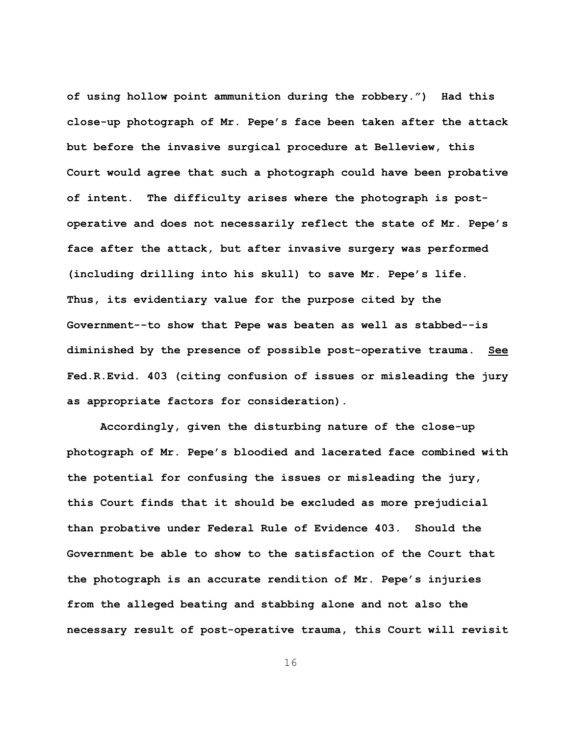**of using hollow point ammunition during the robbery.") Had this close-up photograph of Mr. Pepe's face been taken after the attack but before the invasive surgical procedure at Belleview, this Court would agree that such a photograph could have been probative of intent. The difficulty arises where the photograph is postoperative and does not necessarily reflect the state of Mr. Pepe's face after the attack, but after invasive surgery was performed (including drilling into his skull) to save Mr. Pepe's life. Thus, its evidentiary value for the purpose cited by the Government--to show that Pepe was beaten as well as stabbed--is diminished by the presence of possible post-operative trauma. See Fed.R.Evid. 403 (citing confusion of issues or misleading the jury as appropriate factors for consideration).**

**Accordingly, given the disturbing nature of the close-up photograph of Mr. Pepe's bloodied and lacerated face combined with the potential for confusing the issues or misleading the jury, this Court finds that it should be excluded as more prejudicial than probative under Federal Rule of Evidence 403. Should the Government be able to show to the satisfaction of the Court that the photograph is an accurate rendition of Mr. Pepe's injuries from the alleged beating and stabbing alone and not also the necessary result of post-operative trauma, this Court will revisit**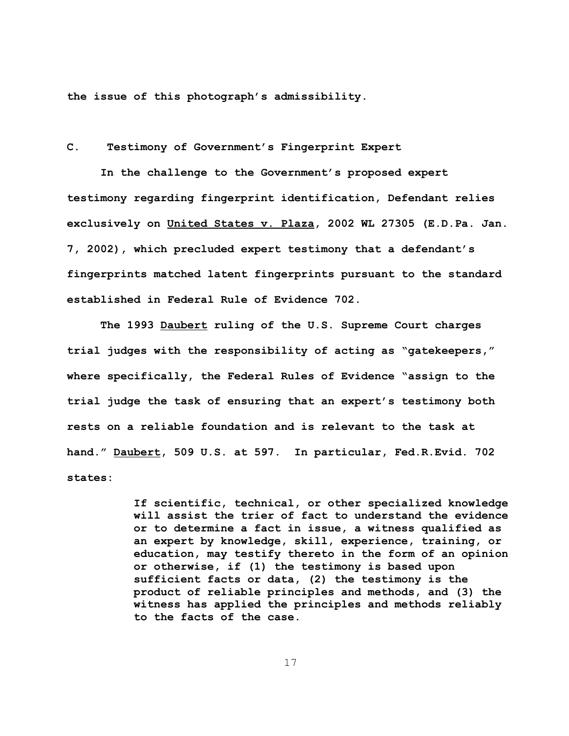**the issue of this photograph's admissibility.**

**C. Testimony of Government's Fingerprint Expert**

**In the challenge to the Government's proposed expert testimony regarding fingerprint identification, Defendant relies exclusively on United States v. Plaza, 2002 WL 27305 (E.D.Pa. Jan. 7, 2002), which precluded expert testimony that a defendant's fingerprints matched latent fingerprints pursuant to the standard established in Federal Rule of Evidence 702.**

**The 1993 Daubert ruling of the U.S. Supreme Court charges trial judges with the responsibility of acting as "gatekeepers," where specifically, the Federal Rules of Evidence "assign to the trial judge the task of ensuring that an expert's testimony both rests on a reliable foundation and is relevant to the task at hand." Daubert, 509 U.S. at 597. In particular, Fed.R.Evid. 702 states:**

> **If scientific, technical, or other specialized knowledge will assist the trier of fact to understand the evidence or to determine a fact in issue, a witness qualified as an expert by knowledge, skill, experience, training, or education, may testify thereto in the form of an opinion or otherwise, if (1) the testimony is based upon sufficient facts or data, (2) the testimony is the product of reliable principles and methods, and (3) the witness has applied the principles and methods reliably to the facts of the case.**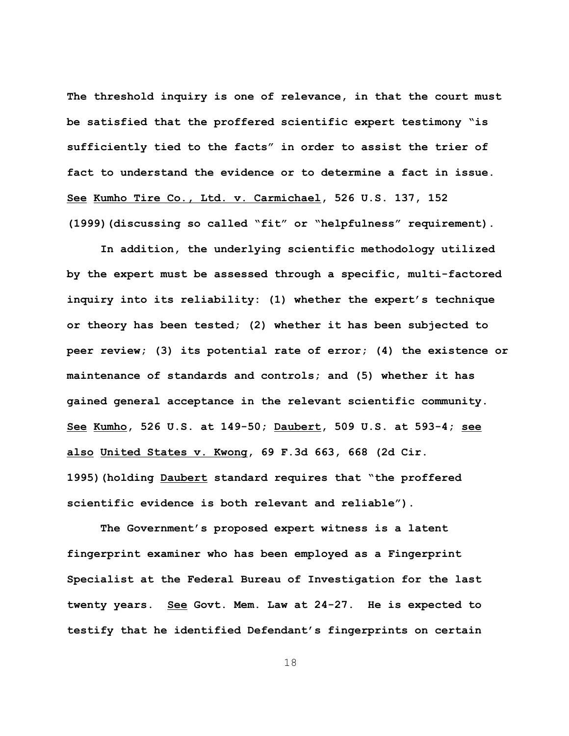**The threshold inquiry is one of relevance, in that the court must be satisfied that the proffered scientific expert testimony "is sufficiently tied to the facts" in order to assist the trier of fact to understand the evidence or to determine a fact in issue. See Kumho Tire Co., Ltd. v. Carmichael, 526 U.S. 137, 152 (1999)(discussing so called "fit" or "helpfulness" requirement).** 

**In addition, the underlying scientific methodology utilized by the expert must be assessed through a specific, multi-factored inquiry into its reliability: (1) whether the expert's technique or theory has been tested; (2) whether it has been subjected to peer review; (3) its potential rate of error; (4) the existence or maintenance of standards and controls; and (5) whether it has gained general acceptance in the relevant scientific community. See Kumho, 526 U.S. at 149-50; Daubert, 509 U.S. at 593-4; see also United States v. Kwong, 69 F.3d 663, 668 (2d Cir. 1995)(holding Daubert standard requires that "the proffered scientific evidence is both relevant and reliable").**

**The Government's proposed expert witness is a latent fingerprint examiner who has been employed as a Fingerprint Specialist at the Federal Bureau of Investigation for the last twenty years. See Govt. Mem. Law at 24-27. He is expected to testify that he identified Defendant's fingerprints on certain**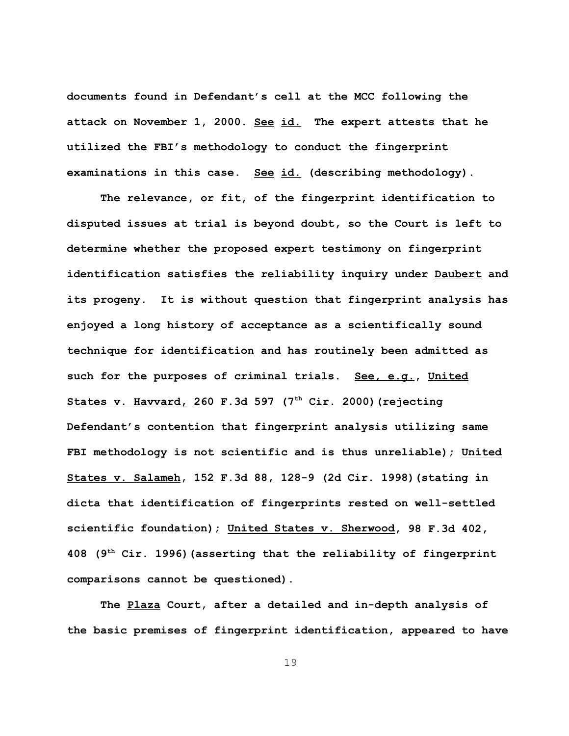**documents found in Defendant's cell at the MCC following the attack on November 1, 2000. See id. The expert attests that he utilized the FBI's methodology to conduct the fingerprint examinations in this case. See id. (describing methodology).**

**The relevance, or fit, of the fingerprint identification to disputed issues at trial is beyond doubt, so the Court is left to determine whether the proposed expert testimony on fingerprint identification satisfies the reliability inquiry under Daubert and its progeny. It is without question that fingerprint analysis has enjoyed a long history of acceptance as a scientifically sound technique for identification and has routinely been admitted as such for the purposes of criminal trials. See, e.g., United States v. Havvard, 260 F.3d 597 (7th Cir. 2000)(rejecting Defendant's contention that fingerprint analysis utilizing same FBI methodology is not scientific and is thus unreliable); United States v. Salameh, 152 F.3d 88, 128-9 (2d Cir. 1998)(stating in dicta that identification of fingerprints rested on well-settled scientific foundation); United States v. Sherwood, 98 F.3d 402, 408 (9th Cir. 1996)(asserting that the reliability of fingerprint comparisons cannot be questioned).**

**The Plaza Court, after a detailed and in-depth analysis of the basic premises of fingerprint identification, appeared to have**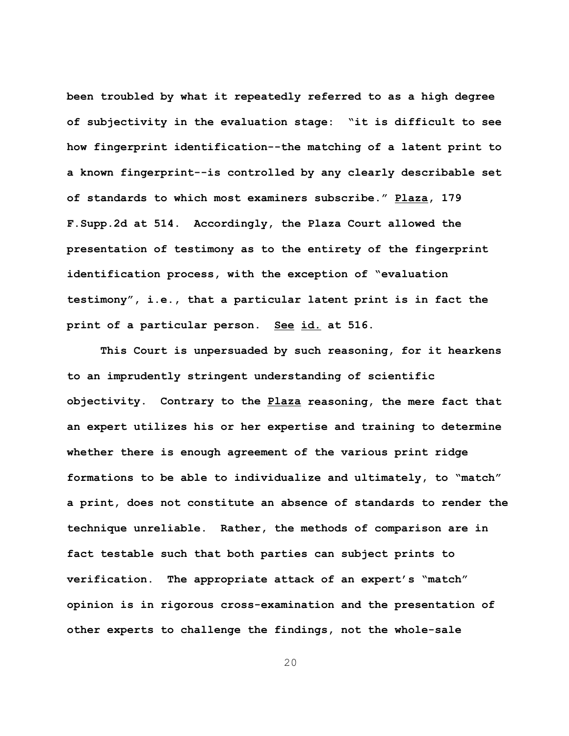**been troubled by what it repeatedly referred to as a high degree of subjectivity in the evaluation stage: "it is difficult to see how fingerprint identification--the matching of a latent print to a known fingerprint--is controlled by any clearly describable set of standards to which most examiners subscribe." Plaza, 179 F.Supp.2d at 514. Accordingly, the Plaza Court allowed the presentation of testimony as to the entirety of the fingerprint identification process, with the exception of "evaluation testimony", i.e., that a particular latent print is in fact the print of a particular person. See id. at 516.** 

**This Court is unpersuaded by such reasoning, for it hearkens to an imprudently stringent understanding of scientific objectivity. Contrary to the Plaza reasoning, the mere fact that an expert utilizes his or her expertise and training to determine whether there is enough agreement of the various print ridge formations to be able to individualize and ultimately, to "match" a print, does not constitute an absence of standards to render the technique unreliable. Rather, the methods of comparison are in fact testable such that both parties can subject prints to verification. The appropriate attack of an expert's "match" opinion is in rigorous cross-examination and the presentation of other experts to challenge the findings, not the whole-sale**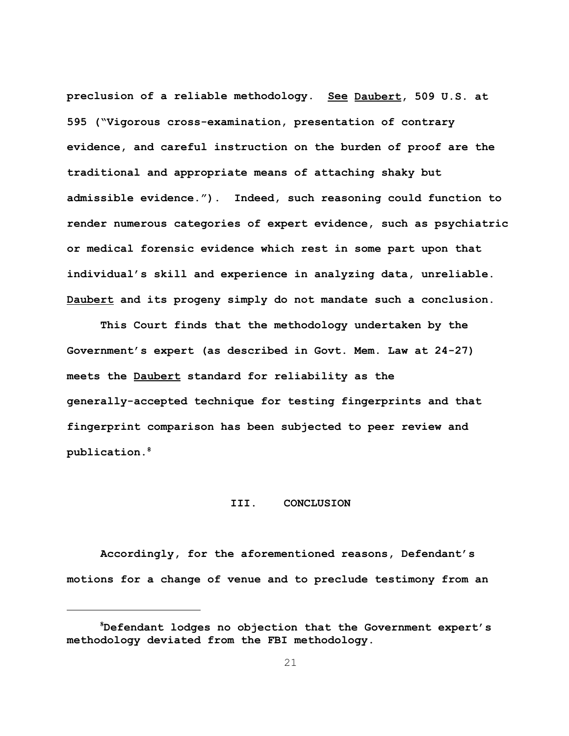**preclusion of a reliable methodology. See Daubert, 509 U.S. at 595 ("Vigorous cross-examination, presentation of contrary evidence, and careful instruction on the burden of proof are the traditional and appropriate means of attaching shaky but admissible evidence."). Indeed, such reasoning could function to render numerous categories of expert evidence, such as psychiatric or medical forensic evidence which rest in some part upon that individual's skill and experience in analyzing data, unreliable. Daubert and its progeny simply do not mandate such a conclusion.**

**This Court finds that the methodology undertaken by the Government's expert (as described in Govt. Mem. Law at 24-27) meets the Daubert standard for reliability as the generally-accepted technique for testing fingerprints and that fingerprint comparison has been subjected to peer review and publication.<sup>8</sup>**

# **III. CONCLUSION**

**Accordingly, for the aforementioned reasons, Defendant's motions for a change of venue and to preclude testimony from an**

**<sup>8</sup>Defendant lodges no objection that the Government expert's methodology deviated from the FBI methodology.**